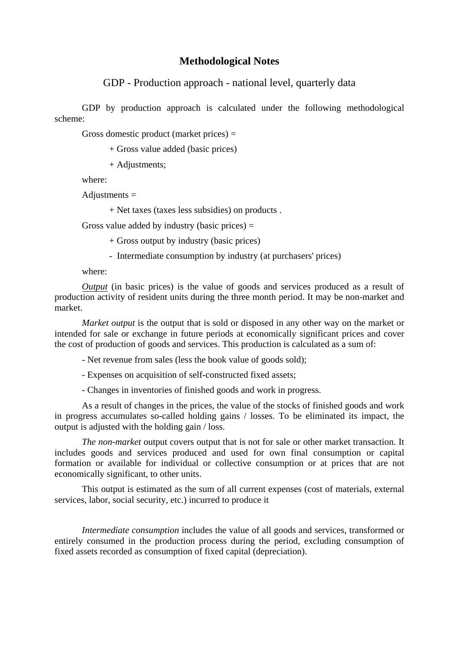## **Methodological Notes**

GDP - Production approach - national level, quarterly data

GDP by production approach is calculated under the following methodological scheme:

Gross domestic product (market prices)  $=$ 

+ Gross value added (basic prices)

+ Adjustments;

where:

Adjustments =

+ Net taxes (taxes less subsidies) on products .

Gross value added by industry (basic prices)  $=$ 

+ Gross output by industry (basic prices)

- Intermediate consumption by industry (at purchasers' prices)

where:

 *Output* (in basic prices) is the value of goods and services produced as a result of production activity of resident units during the three month period. It may be non-market and market.

*Market output* is the output that is sold or disposed in any other way on the market or intended for sale or exchange in future periods at economically significant prices and cover the cost of production of goods and services. This production is calculated as a sum of:

- Net revenue from sales (less the book value of goods sold);

- Expenses on acquisition of self-constructed fixed assets;

- Changes in inventories of finished goods and work in progress.

As a result of changes in the prices, the value of the stocks of finished goods and work in progress accumulates so-called holding gains / losses. To be eliminated its impact, the output is adjusted with the holding gain / loss.

*The non-market* output covers output that is not for sale or other market transaction. It includes goods and services produced and used for own final consumption or capital formation or available for individual or collective consumption or at prices that are not economically significant, to other units.

This output is estimated as the sum of all current expenses (cost of materials, external services, labor, social security, etc.) incurred to produce it

*Intermediate consumption* includes the value of all goods and services, transformed or entirely consumed in the production process during the period, excluding consumption of fixed assets recorded as consumption of fixed capital (depreciation).